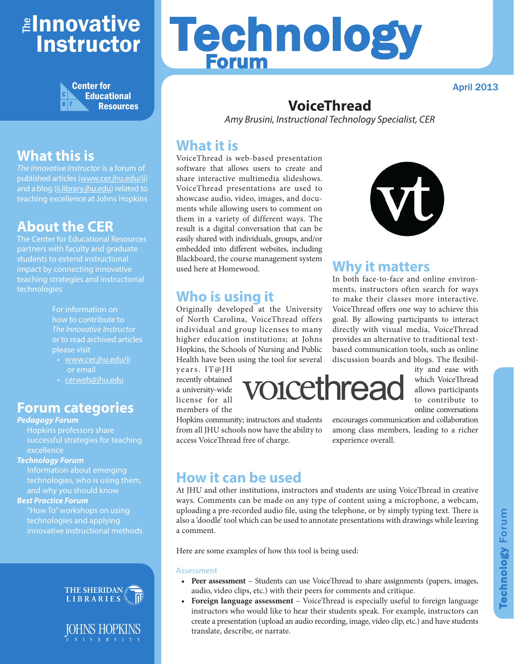## <mark>≇Innovative</mark> Instructor



## **What this is**

*The Innovative Instructor* is a forum of published articles (www.cer.jhu.edu/ii) and a blog (ii.library.jhu.edu) related to teaching excellence at Johns Hopkins

## **About the CER**

The Center for Educational Resources partners with faculty and graduate students to extend instructional impact by connecting innovative teaching strategies and instructional technologies

> For information on how to contribute to *The Innovative Instructor* or to read archived articles please visit

- www.cer.jhu.edu/ii or email
- cerweb@jhu.edu

#### **Forum categories**

#### *Pedagogy Forum*

Hopkins professors share successful strategies for teaching **excellence** 

#### *Technology Forum*

Information about emerging technologies, who is using them, and why you should know

#### *Best Practice Forum*

"How To" workshops on using technologies and applying innovative instructional methods





# Technology Forum

April 2013

## **VoiceThread**

*Amy Brusini, Instructional Technology Specialist, CER*

#### **What it is**

VoiceThread is web-based presentation software that allows users to create and share interactive multimedia slideshows. VoiceThread presentations are used to showcase audio, video, images, and documents while allowing users to comment on them in a variety of different ways. The result is a digital conversation that can be easily shared with individuals, groups, and/or embedded into different websites, including Blackboard, the course management system used here at Homewood.

## **Who is using it**

Originally developed at the University of North Carolina, VoiceThread offers individual and group licenses to many higher education institutions; at Johns Hopkins, the Schools of Nursing and Public Health have been using the tool for several

years. IT@JH recently obtained a university-wide license for all members of the

Hopkins community; instructors and students from all JHU schools now have the ability to access VoiceThread free of charge.



## **Why it matters**

In both face-to-face and online environments, instructors often search for ways to make their classes more interactive. VoiceThread offers one way to achieve this goal. By allowing participants to interact directly with visual media, VoiceThread provides an alternative to traditional textbased communication tools, such as online discussion boards and blogs. The flexibil-



which VoiceThread allows participants to contribute to online conversations

ity and ease with

encourages communication and collaboration among class members, leading to a richer experience overall.

## **How it can be used**

At JHU and other institutions, instructors and students are using VoiceThread in creative ways. Comments can be made on any type of content using a microphone, a webcam, uploading a pre-recorded audio file, using the telephone, or by simply typing text. There is also a 'doodle' tool which can be used to annotate presentations with drawings while leaving a comment.

Here are some examples of how this tool is being used:

#### Assessment

- **• Peer assessment** Students can use VoiceThread to share assignments (papers, images, audio, video clips, etc.) with their peers for comments and critique.
- **• Foreign language assessment** VoiceThread is especially useful to foreign language instructors who would like to hear their students speak. For example, instructors can create a presentation (upload an audio recording, image, video clip, etc.) and have students translate, describe, or narrate.